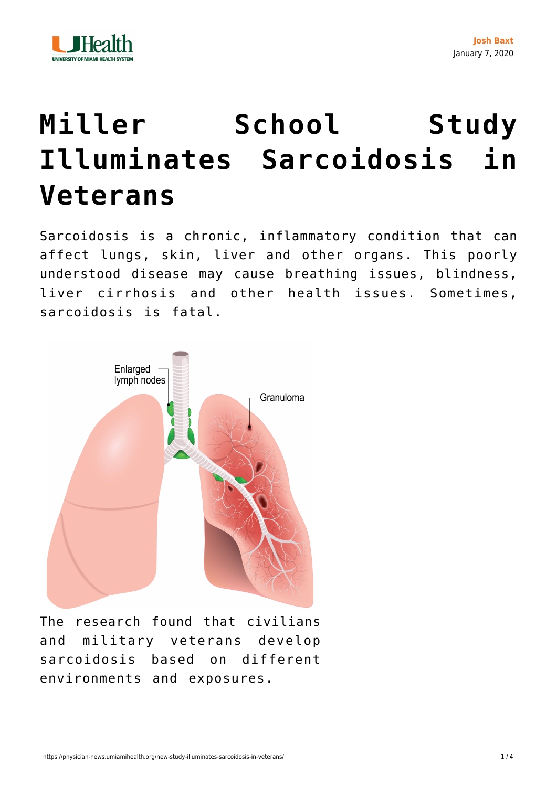

## **[Miller School Study](https://physician-news.umiamihealth.org/new-study-illuminates-sarcoidosis-in-veterans/) [Illuminates Sarcoidosis in](https://physician-news.umiamihealth.org/new-study-illuminates-sarcoidosis-in-veterans/) [Veterans](https://physician-news.umiamihealth.org/new-study-illuminates-sarcoidosis-in-veterans/)**

Sarcoidosis is a chronic, inflammatory condition that can affect lungs, skin, liver and other organs. This poorly understood disease may cause breathing issues, blindness, liver cirrhosis and other health issues. Sometimes, sarcoidosis is fatal.



The research found that civilians and military veterans develop sarcoidosis based on different environments and exposures.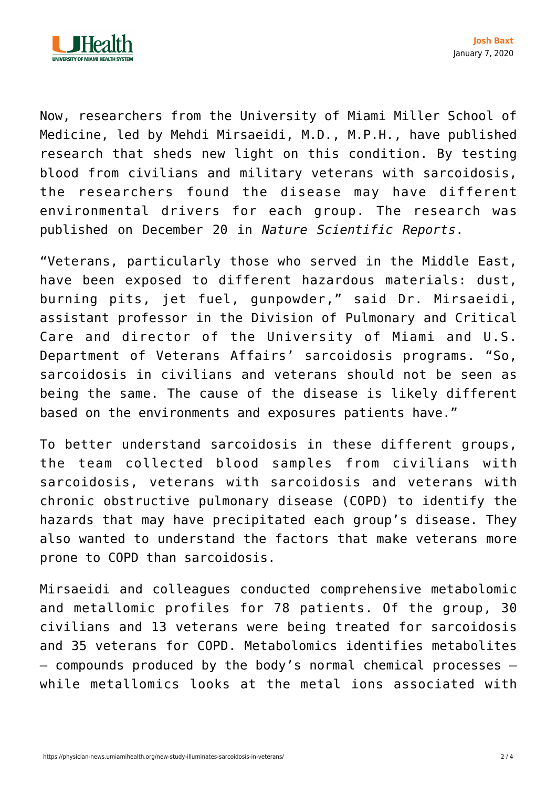

Now, researchers from the University of Miami Miller School of Medicine, led by Mehdi Mirsaeidi, M.D., M.P.H., have published research that sheds new light on this condition. By testing blood from civilians and military veterans with sarcoidosis, the researchers found the disease may have different environmental drivers for each group. The research was [published](https://www.nature.com/articles/s41598-019-56174-8?proof=trueSouthampton) on December 20 in *Nature Scientific Reports*.

"Veterans, particularly those who served in the Middle East, have been exposed to different hazardous materials: dust, burning pits, jet fuel, gunpowder," said Dr. Mirsaeidi, assistant professor in the Division of Pulmonary and Critical Care and director of the University of Miami and U.S. Department of Veterans Affairs' sarcoidosis programs. "So, sarcoidosis in civilians and veterans should not be seen as being the same. The cause of the disease is likely different based on the environments and exposures patients have."

To better understand sarcoidosis in these different groups, the team collected blood samples from civilians with sarcoidosis, veterans with sarcoidosis and veterans with chronic obstructive pulmonary disease (COPD) to identify the hazards that may have precipitated each group's disease. They also wanted to understand the factors that make veterans more prone to COPD than sarcoidosis.

Mirsaeidi and colleagues conducted comprehensive metabolomic and metallomic profiles for 78 patients. Of the group, 30 civilians and 13 veterans were being treated for sarcoidosis and 35 veterans for COPD. Metabolomics identifies metabolites — compounds produced by the body's normal chemical processes while metallomics looks at the metal ions associated with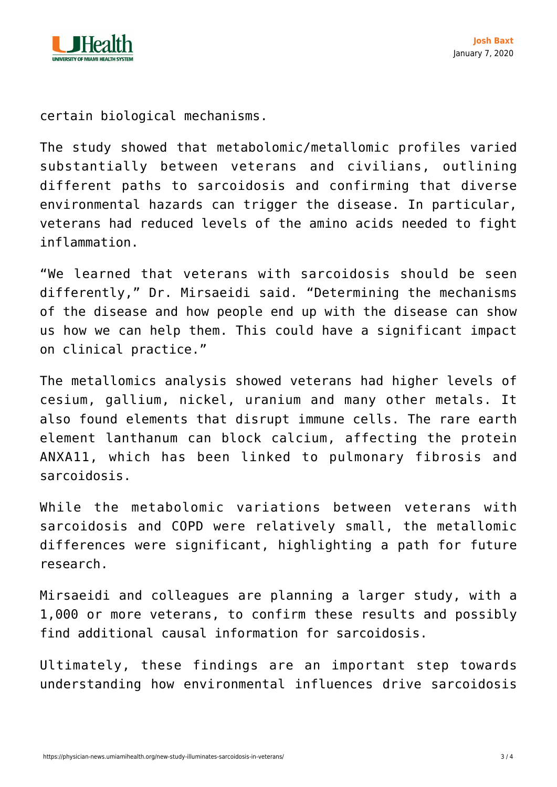

certain biological mechanisms.

The study showed that metabolomic/metallomic profiles varied substantially between veterans and civilians, outlining different paths to sarcoidosis and confirming that diverse environmental hazards can trigger the disease. In particular, veterans had reduced levels of the amino acids needed to fight inflammation.

"We learned that veterans with sarcoidosis should be seen differently," Dr. Mirsaeidi said. "Determining the mechanisms of the disease and how people end up with the disease can show us how we can help them. This could have a significant impact on clinical practice."

The metallomics analysis showed veterans had higher levels of cesium, gallium, nickel, uranium and many other metals. It also found elements that disrupt immune cells. The rare earth element lanthanum can block calcium, affecting the protein ANXA11, which has been linked to pulmonary fibrosis and sarcoidosis.

While the metabolomic variations between veterans with sarcoidosis and COPD were relatively small, the metallomic differences were significant, highlighting a path for future research.

Mirsaeidi and colleagues are planning a larger study, with a 1,000 or more veterans, to confirm these results and possibly find additional causal information for sarcoidosis.

Ultimately, these findings are an important step towards understanding how environmental influences drive sarcoidosis